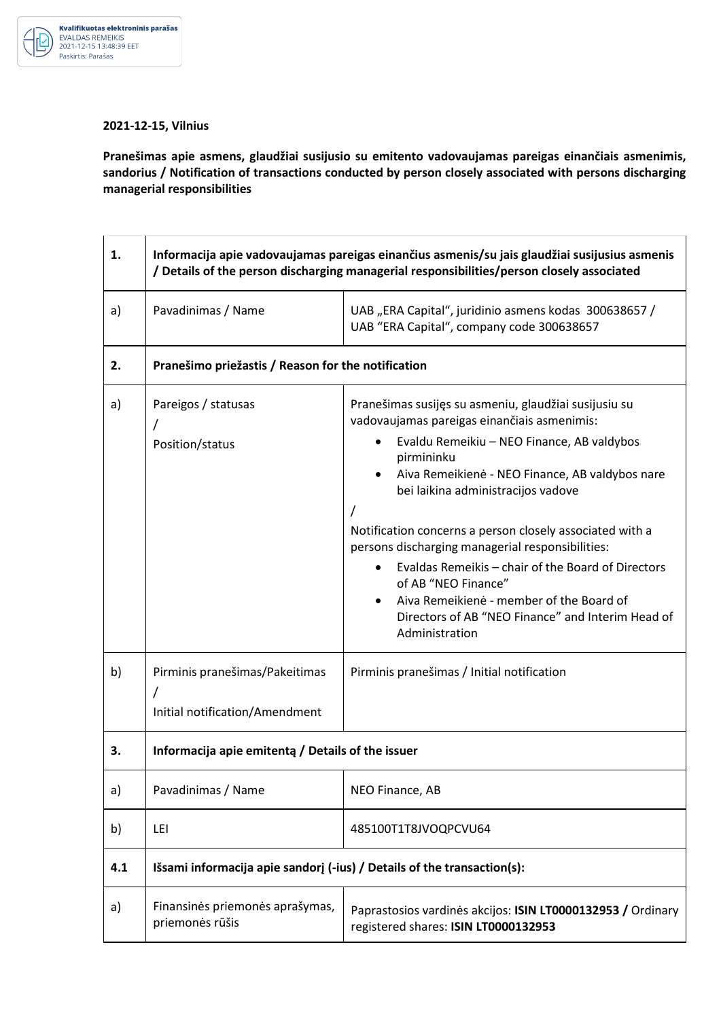

## **2021-12-15, Vilnius**

**Pranešimas apie asmens, glaudžiai susijusio su emitento vadovaujamas pareigas einančiais asmenimis, sandorius / Notification of transactions conducted by person closely associated with persons discharging managerial responsibilities** 

| 1.  | Informacija apie vadovaujamas pareigas einančius asmenis/su jais glaudžiai susijusius asmenis<br>/ Details of the person discharging managerial responsibilities/person closely associated |                                                                                                                                                                                                                                                                                                                                                                                            |  |
|-----|--------------------------------------------------------------------------------------------------------------------------------------------------------------------------------------------|--------------------------------------------------------------------------------------------------------------------------------------------------------------------------------------------------------------------------------------------------------------------------------------------------------------------------------------------------------------------------------------------|--|
| a)  | Pavadinimas / Name                                                                                                                                                                         | UAB "ERA Capital", juridinio asmens kodas 300638657 /<br>UAB "ERA Capital", company code 300638657                                                                                                                                                                                                                                                                                         |  |
| 2.  | Pranešimo priežastis / Reason for the notification                                                                                                                                         |                                                                                                                                                                                                                                                                                                                                                                                            |  |
| a)  | Pareigos / statusas                                                                                                                                                                        | Pranešimas susijęs su asmeniu, glaudžiai susijusiu su<br>vadovaujamas pareigas einančiais asmenimis:                                                                                                                                                                                                                                                                                       |  |
|     | Position/status                                                                                                                                                                            | Evaldu Remeikiu - NEO Finance, AB valdybos<br>pirmininku<br>Aiva Remeikienė - NEO Finance, AB valdybos nare<br>bei laikina administracijos vadove<br>Notification concerns a person closely associated with a<br>persons discharging managerial responsibilities:<br>Evaldas Remeikis - chair of the Board of Directors<br>of AB "NEO Finance"<br>Aiva Remeikienė - member of the Board of |  |
|     |                                                                                                                                                                                            | Directors of AB "NEO Finance" and Interim Head of<br>Administration                                                                                                                                                                                                                                                                                                                        |  |
| b)  | Pirminis pranešimas/Pakeitimas<br>Initial notification/Amendment                                                                                                                           | Pirminis pranešimas / Initial notification                                                                                                                                                                                                                                                                                                                                                 |  |
| З.  | Informacija apie emitenta / Details of the issuer                                                                                                                                          |                                                                                                                                                                                                                                                                                                                                                                                            |  |
| a)  | Pavadinimas / Name                                                                                                                                                                         | NEO Finance, AB                                                                                                                                                                                                                                                                                                                                                                            |  |
| b)  | LEI                                                                                                                                                                                        | 485100T1T8JVOQPCVU64                                                                                                                                                                                                                                                                                                                                                                       |  |
| 4.1 | Išsami informacija apie sandorj (-ius) / Details of the transaction(s):                                                                                                                    |                                                                                                                                                                                                                                                                                                                                                                                            |  |
| a)  | Finansinės priemonės aprašymas,<br>priemonės rūšis                                                                                                                                         | Paprastosios vardinės akcijos: ISIN LT0000132953 / Ordinary<br>registered shares: ISIN LT0000132953                                                                                                                                                                                                                                                                                        |  |